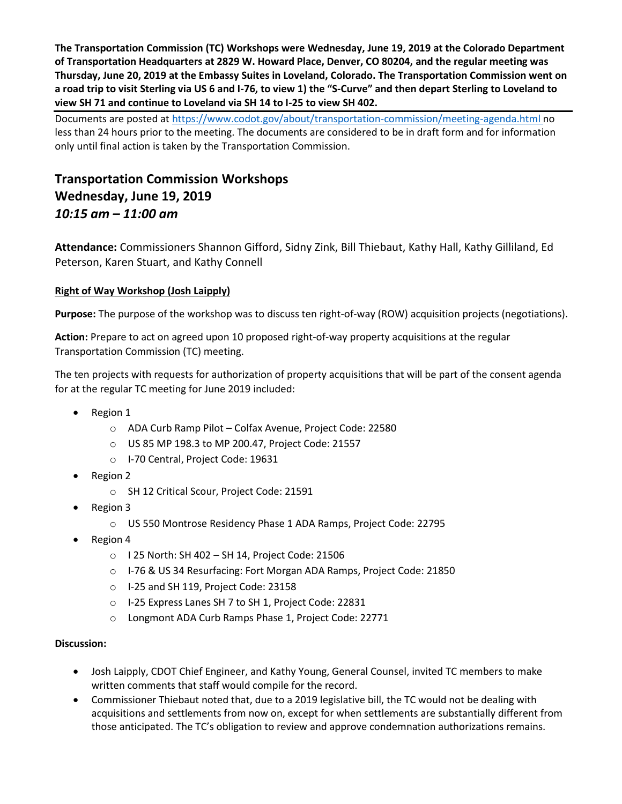**The Transportation Commission (TC) Workshops were Wednesday, June 19, 2019 at the Colorado Department of Transportation Headquarters at 2829 W. Howard Place, Denver, CO 80204, and the regular meeting was Thursday, June 20, 2019 at the Embassy Suites in Loveland, Colorado. The Transportation Commission went on a road trip to visit Sterling via US 6 and I-76, to view 1) the "S-Curve" and then depart Sterling to Loveland to view SH 71 and continue to Loveland via SH 14 to I-25 to view SH 402.**

Documents are posted at<https://www.codot.gov/about/transportation-commission/meeting-agenda.html> no less than 24 hours prior to the meeting. The documents are considered to be in draft form and for information only until final action is taken by the Transportation Commission.

# **Transportation Commission Workshops Wednesday, June 19, 2019** *10:15 am – 11:00 am*

**Attendance:** Commissioners Shannon Gifford, Sidny Zink, Bill Thiebaut, Kathy Hall, Kathy Gilliland, Ed Peterson, Karen Stuart, and Kathy Connell

# **[Right of Way Workshop \(Josh Laipply\)](https://www.codot.gov/about/transportation-commission/documents/2018-agendas-and-supporting-documents/december-2018/tc-row-2018-12-final.pdf)**

**Purpose:** The purpose of the workshop was to discuss ten right-of-way (ROW) acquisition projects (negotiations).

**Action:** Prepare to act on agreed upon 10 proposed right-of-way property acquisitions at the regular Transportation Commission (TC) meeting.

The ten projects with requests for authorization of property acquisitions that will be part of the consent agenda for at the regular TC meeting for June 2019 included:

- Region 1
	- o ADA Curb Ramp Pilot Colfax Avenue, Project Code: 22580
	- o US 85 MP 198.3 to MP 200.47, Project Code: 21557
	- o I-70 Central, Project Code: 19631
- Region 2
	- o SH 12 Critical Scour, Project Code: 21591
- Region 3
	- o US 550 Montrose Residency Phase 1 ADA Ramps, Project Code: 22795
- Region 4
	- o I 25 North: SH 402 SH 14, Project Code: 21506
	- o I-76 & US 34 Resurfacing: Fort Morgan ADA Ramps, Project Code: 21850
	- o I-25 and SH 119, Project Code: 23158
	- o I-25 Express Lanes SH 7 to SH 1, Project Code: 22831
	- o Longmont ADA Curb Ramps Phase 1, Project Code: 22771

#### **Discussion:**

- Josh Laipply, CDOT Chief Engineer, and Kathy Young, General Counsel, invited TC members to make written comments that staff would compile for the record.
- Commissioner Thiebaut noted that, due to a 2019 legislative bill, the TC would not be dealing with acquisitions and settlements from now on, except for when settlements are substantially different from those anticipated. The TC's obligation to review and approve condemnation authorizations remains.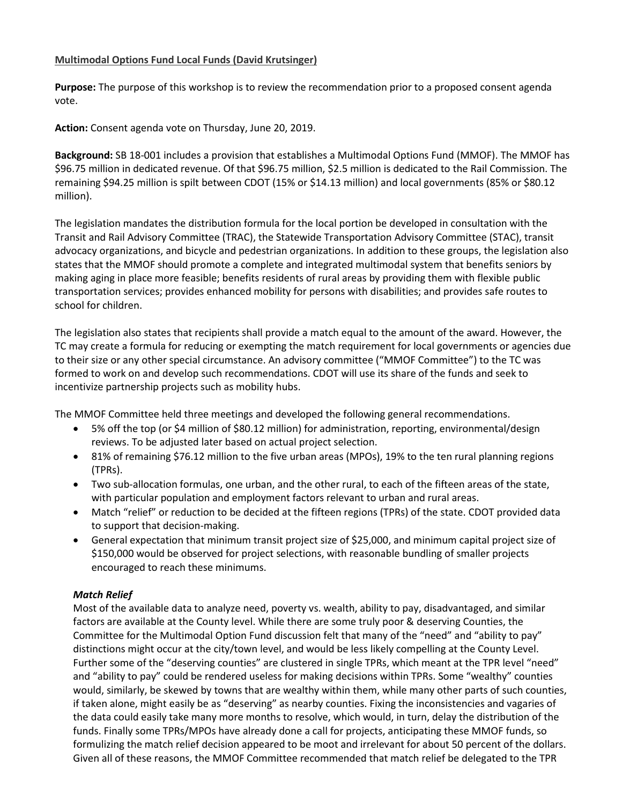#### **Multimodal Options Fund Local Funds (David Krutsinger)**

**Purpose:** The purpose of this workshop is to review the recommendation prior to a proposed consent agenda vote.

**Action:** Consent agenda vote on Thursday, June 20, 2019.

**Background:** SB 18-001 includes a provision that establishes a Multimodal Options Fund (MMOF). The MMOF has \$96.75 million in dedicated revenue. Of that \$96.75 million, \$2.5 million is dedicated to the Rail Commission. The remaining \$94.25 million is spilt between CDOT (15% or \$14.13 million) and local governments (85% or \$80.12 million).

The legislation mandates the distribution formula for the local portion be developed in consultation with the Transit and Rail Advisory Committee (TRAC), the Statewide Transportation Advisory Committee (STAC), transit advocacy organizations, and bicycle and pedestrian organizations. In addition to these groups, the legislation also states that the MMOF should promote a complete and integrated multimodal system that benefits seniors by making aging in place more feasible; benefits residents of rural areas by providing them with flexible public transportation services; provides enhanced mobility for persons with disabilities; and provides safe routes to school for children.

The legislation also states that recipients shall provide a match equal to the amount of the award. However, the TC may create a formula for reducing or exempting the match requirement for local governments or agencies due to their size or any other special circumstance. An advisory committee ("MMOF Committee") to the TC was formed to work on and develop such recommendations. CDOT will use its share of the funds and seek to incentivize partnership projects such as mobility hubs.

The MMOF Committee held three meetings and developed the following general recommendations.

- 5% off the top (or \$4 million of \$80.12 million) for administration, reporting, environmental/design reviews. To be adjusted later based on actual project selection.
- 81% of remaining \$76.12 million to the five urban areas (MPOs), 19% to the ten rural planning regions (TPRs).
- Two sub-allocation formulas, one urban, and the other rural, to each of the fifteen areas of the state, with particular population and employment factors relevant to urban and rural areas.
- Match "relief" or reduction to be decided at the fifteen regions (TPRs) of the state. CDOT provided data to support that decision-making.
- General expectation that minimum transit project size of \$25,000, and minimum capital project size of \$150,000 would be observed for project selections, with reasonable bundling of smaller projects encouraged to reach these minimums.

#### *Match Relief*

Most of the available data to analyze need, poverty vs. wealth, ability to pay, disadvantaged, and similar factors are available at the County level. While there are some truly poor & deserving Counties, the Committee for the Multimodal Option Fund discussion felt that many of the "need" and "ability to pay" distinctions might occur at the city/town level, and would be less likely compelling at the County Level. Further some of the "deserving counties" are clustered in single TPRs, which meant at the TPR level "need" and "ability to pay" could be rendered useless for making decisions within TPRs. Some "wealthy" counties would, similarly, be skewed by towns that are wealthy within them, while many other parts of such counties, if taken alone, might easily be as "deserving" as nearby counties. Fixing the inconsistencies and vagaries of the data could easily take many more months to resolve, which would, in turn, delay the distribution of the funds. Finally some TPRs/MPOs have already done a call for projects, anticipating these MMOF funds, so formulizing the match relief decision appeared to be moot and irrelevant for about 50 percent of the dollars. Given all of these reasons, the MMOF Committee recommended that match relief be delegated to the TPR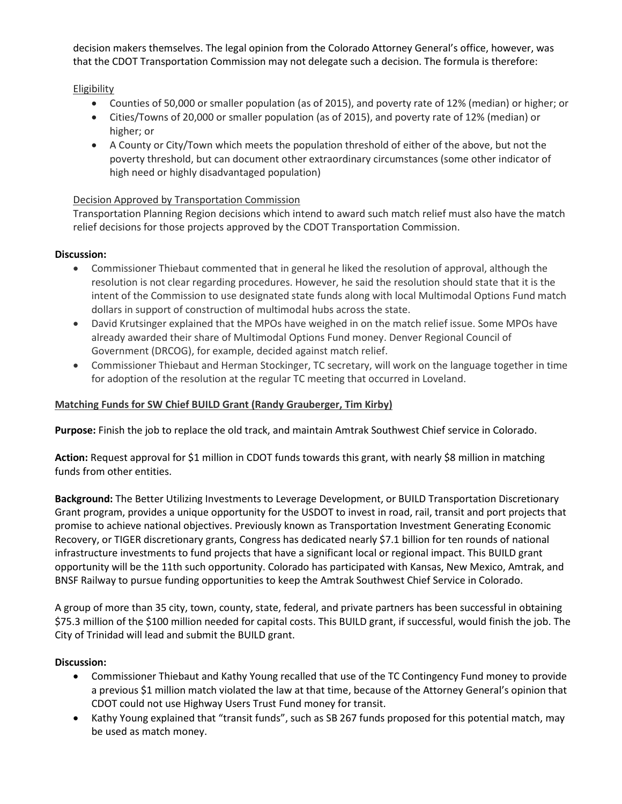decision makers themselves. The legal opinion from the Colorado Attorney General's office, however, was that the CDOT Transportation Commission may not delegate such a decision. The formula is therefore:

#### **Eligibility**

- Counties of 50,000 or smaller population (as of 2015), and poverty rate of 12% (median) or higher; or
- Cities/Towns of 20,000 or smaller population (as of 2015), and poverty rate of 12% (median) or higher; or
- A County or City/Town which meets the population threshold of either of the above, but not the poverty threshold, but can document other extraordinary circumstances (some other indicator of high need or highly disadvantaged population)

#### Decision Approved by Transportation Commission

Transportation Planning Region decisions which intend to award such match relief must also have the match relief decisions for those projects approved by the CDOT Transportation Commission.

#### **Discussion:**

- Commissioner Thiebaut commented that in general he liked the resolution of approval, although the resolution is not clear regarding procedures. However, he said the resolution should state that it is the intent of the Commission to use designated state funds along with local Multimodal Options Fund match dollars in support of construction of multimodal hubs across the state.
- David Krutsinger explained that the MPOs have weighed in on the match relief issue. Some MPOs have already awarded their share of Multimodal Options Fund money. Denver Regional Council of Government (DRCOG), for example, decided against match relief.
- Commissioner Thiebaut and Herman Stockinger, TC secretary, will work on the language together in time for adoption of the resolution at the regular TC meeting that occurred in Loveland.

### **Matching Funds for SW Chief BUILD Grant (Randy Grauberger, Tim Kirby)**

**Purpose:** Finish the job to replace the old track, and maintain Amtrak Southwest Chief service in Colorado.

**Action:** Request approval for \$1 million in CDOT funds towards this grant, with nearly \$8 million in matching funds from other entities.

**Background:** The Better Utilizing Investments to Leverage Development, or BUILD Transportation Discretionary Grant program, provides a unique opportunity for the USDOT to invest in road, rail, transit and port projects that promise to achieve national objectives. Previously known as Transportation Investment Generating Economic Recovery, or TIGER discretionary grants, Congress has dedicated nearly \$7.1 billion for ten rounds of national infrastructure investments to fund projects that have a significant local or regional impact. This BUILD grant opportunity will be the 11th such opportunity. Colorado has participated with Kansas, New Mexico, Amtrak, and BNSF Railway to pursue funding opportunities to keep the Amtrak Southwest Chief Service in Colorado.

A group of more than 35 city, town, county, state, federal, and private partners has been successful in obtaining \$75.3 million of the \$100 million needed for capital costs. This BUILD grant, if successful, would finish the job. The City of Trinidad will lead and submit the BUILD grant.

#### **Discussion:**

- Commissioner Thiebaut and Kathy Young recalled that use of the TC Contingency Fund money to provide a previous \$1 million match violated the law at that time, because of the Attorney General's opinion that CDOT could not use Highway Users Trust Fund money for transit.
- Kathy Young explained that "transit funds", such as SB 267 funds proposed for this potential match, may be used as match money.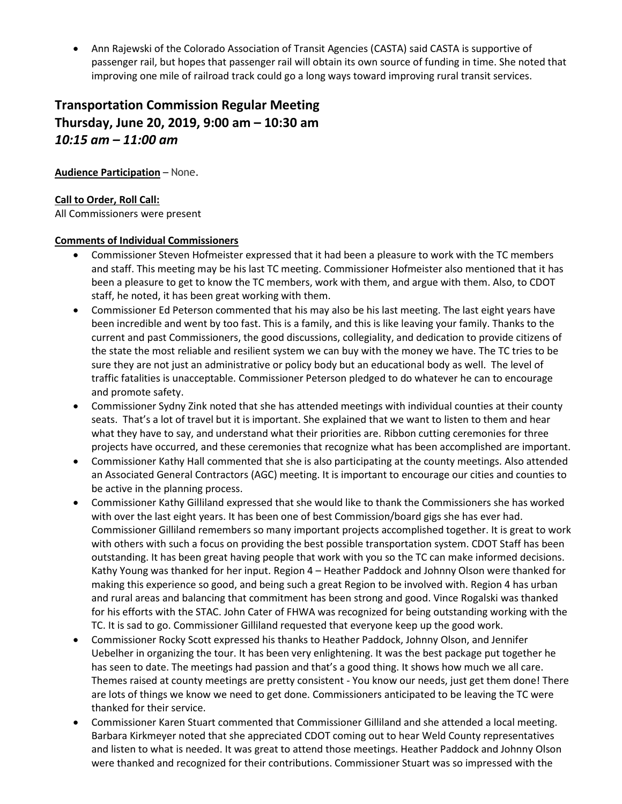Ann Rajewski of the Colorado Association of Transit Agencies (CASTA) said CASTA is supportive of passenger rail, but hopes that passenger rail will obtain its own source of funding in time. She noted that improving one mile of railroad track could go a long ways toward improving rural transit services.

# **Transportation Commission Regular Meeting Thursday, June 20, 2019, 9:00 am – 10:30 am** *10:15 am – 11:00 am*

#### **Audience Participation** – None.

#### **Call to Order, Roll Call:**

All Commissioners were present

#### **Comments of Individual Commissioners**

- Commissioner Steven Hofmeister expressed that it had been a pleasure to work with the TC members and staff. This meeting may be his last TC meeting. Commissioner Hofmeister also mentioned that it has been a pleasure to get to know the TC members, work with them, and argue with them. Also, to CDOT staff, he noted, it has been great working with them.
- Commissioner Ed Peterson commented that his may also be his last meeting. The last eight years have been incredible and went by too fast. This is a family, and this is like leaving your family. Thanks to the current and past Commissioners, the good discussions, collegiality, and dedication to provide citizens of the state the most reliable and resilient system we can buy with the money we have. The TC tries to be sure they are not just an administrative or policy body but an educational body as well. The level of traffic fatalities is unacceptable. Commissioner Peterson pledged to do whatever he can to encourage and promote safety.
- Commissioner Sydny Zink noted that she has attended meetings with individual counties at their county seats. That's a lot of travel but it is important. She explained that we want to listen to them and hear what they have to say, and understand what their priorities are. Ribbon cutting ceremonies for three projects have occurred, and these ceremonies that recognize what has been accomplished are important.
- Commissioner Kathy Hall commented that she is also participating at the county meetings. Also attended an Associated General Contractors (AGC) meeting. It is important to encourage our cities and counties to be active in the planning process.
- Commissioner Kathy Gilliland expressed that she would like to thank the Commissioners she has worked with over the last eight years. It has been one of best Commission/board gigs she has ever had. Commissioner Gilliland remembers so many important projects accomplished together. It is great to work with others with such a focus on providing the best possible transportation system. CDOT Staff has been outstanding. It has been great having people that work with you so the TC can make informed decisions. Kathy Young was thanked for her input. Region 4 – Heather Paddock and Johnny Olson were thanked for making this experience so good, and being such a great Region to be involved with. Region 4 has urban and rural areas and balancing that commitment has been strong and good. Vince Rogalski was thanked for his efforts with the STAC. John Cater of FHWA was recognized for being outstanding working with the TC. It is sad to go. Commissioner Gilliland requested that everyone keep up the good work.
- Commissioner Rocky Scott expressed his thanks to Heather Paddock, Johnny Olson, and Jennifer Uebelher in organizing the tour. It has been very enlightening. It was the best package put together he has seen to date. The meetings had passion and that's a good thing. It shows how much we all care. Themes raised at county meetings are pretty consistent - You know our needs, just get them done! There are lots of things we know we need to get done. Commissioners anticipated to be leaving the TC were thanked for their service.
- Commissioner Karen Stuart commented that Commissioner Gilliland and she attended a local meeting. Barbara Kirkmeyer noted that she appreciated CDOT coming out to hear Weld County representatives and listen to what is needed. It was great to attend those meetings. Heather Paddock and Johnny Olson were thanked and recognized for their contributions. Commissioner Stuart was so impressed with the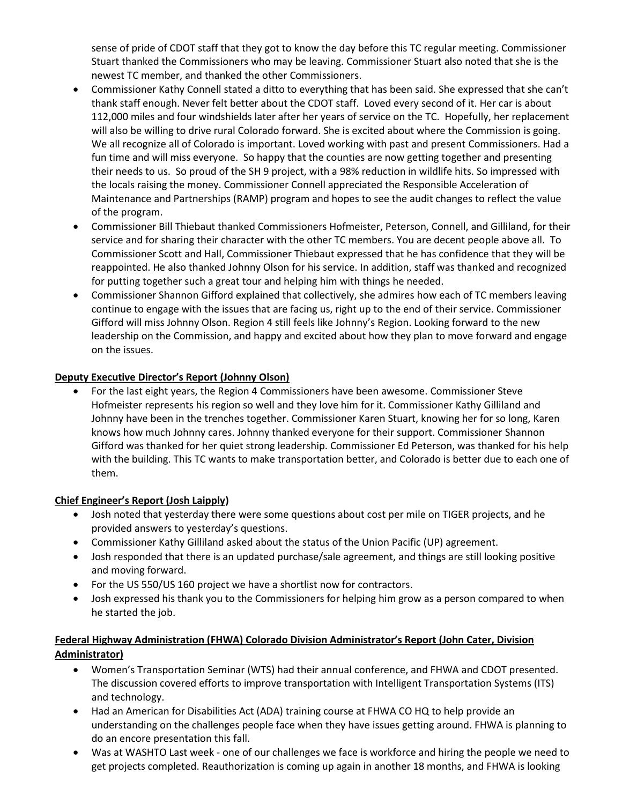sense of pride of CDOT staff that they got to know the day before this TC regular meeting. Commissioner Stuart thanked the Commissioners who may be leaving. Commissioner Stuart also noted that she is the newest TC member, and thanked the other Commissioners.

- Commissioner Kathy Connell stated a ditto to everything that has been said. She expressed that she can't thank staff enough. Never felt better about the CDOT staff. Loved every second of it. Her car is about 112,000 miles and four windshields later after her years of service on the TC. Hopefully, her replacement will also be willing to drive rural Colorado forward. She is excited about where the Commission is going. We all recognize all of Colorado is important. Loved working with past and present Commissioners. Had a fun time and will miss everyone. So happy that the counties are now getting together and presenting their needs to us. So proud of the SH 9 project, with a 98% reduction in wildlife hits. So impressed with the locals raising the money. Commissioner Connell appreciated the Responsible Acceleration of Maintenance and Partnerships (RAMP) program and hopes to see the audit changes to reflect the value of the program.
- Commissioner Bill Thiebaut thanked Commissioners Hofmeister, Peterson, Connell, and Gilliland, for their service and for sharing their character with the other TC members. You are decent people above all. To Commissioner Scott and Hall, Commissioner Thiebaut expressed that he has confidence that they will be reappointed. He also thanked Johnny Olson for his service. In addition, staff was thanked and recognized for putting together such a great tour and helping him with things he needed.
- Commissioner Shannon Gifford explained that collectively, she admires how each of TC members leaving continue to engage with the issues that are facing us, right up to the end of their service. Commissioner Gifford will miss Johnny Olson. Region 4 still feels like Johnny's Region. Looking forward to the new leadership on the Commission, and happy and excited about how they plan to move forward and engage on the issues.

## **Deputy Executive Director's Report (Johnny Olson)**

 For the last eight years, the Region 4 Commissioners have been awesome. Commissioner Steve Hofmeister represents his region so well and they love him for it. Commissioner Kathy Gilliland and Johnny have been in the trenches together. Commissioner Karen Stuart, knowing her for so long, Karen knows how much Johnny cares. Johnny thanked everyone for their support. Commissioner Shannon Gifford was thanked for her quiet strong leadership. Commissioner Ed Peterson, was thanked for his help with the building. This TC wants to make transportation better, and Colorado is better due to each one of them.

## **Chief Engineer's Report (Josh Laipply)**

- Josh noted that yesterday there were some questions about cost per mile on TIGER projects, and he provided answers to yesterday's questions.
- Commissioner Kathy Gilliland asked about the status of the Union Pacific (UP) agreement.
- Josh responded that there is an updated purchase/sale agreement, and things are still looking positive and moving forward.
- For the US 550/US 160 project we have a shortlist now for contractors.
- Josh expressed his thank you to the Commissioners for helping him grow as a person compared to when he started the job.

# **Federal Highway Administration (FHWA) Colorado Division Administrator's Report (John Cater, Division Administrator)**

- Women's Transportation Seminar (WTS) had their annual conference, and FHWA and CDOT presented. The discussion covered efforts to improve transportation with Intelligent Transportation Systems (ITS) and technology.
- Had an American for Disabilities Act (ADA) training course at FHWA CO HQ to help provide an understanding on the challenges people face when they have issues getting around. FHWA is planning to do an encore presentation this fall.
- Was at WASHTO Last week one of our challenges we face is workforce and hiring the people we need to get projects completed. Reauthorization is coming up again in another 18 months, and FHWA is looking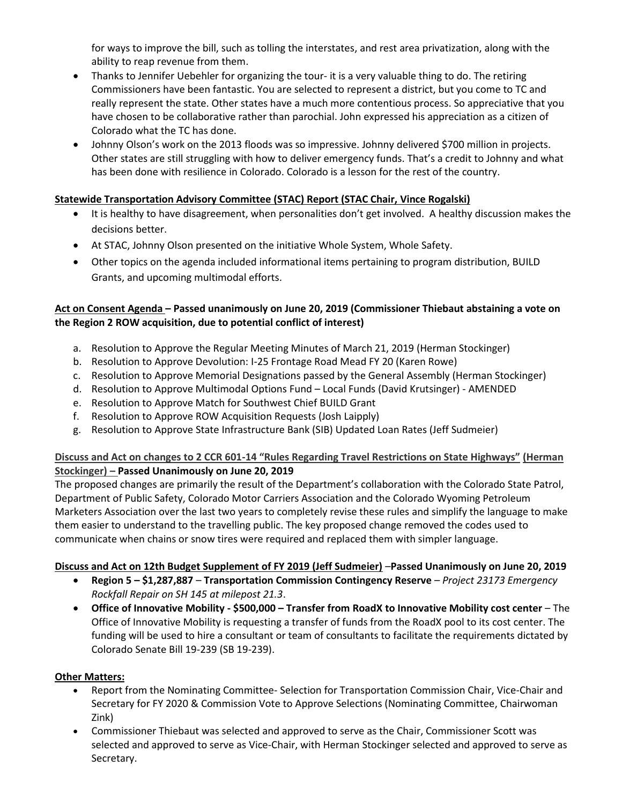for ways to improve the bill, such as tolling the interstates, and rest area privatization, along with the ability to reap revenue from them.

- Thanks to Jennifer Uebehler for organizing the tour- it is a very valuable thing to do. The retiring Commissioners have been fantastic. You are selected to represent a district, but you come to TC and really represent the state. Other states have a much more contentious process. So appreciative that you have chosen to be collaborative rather than parochial. John expressed his appreciation as a citizen of Colorado what the TC has done.
- Johnny Olson's work on the 2013 floods was so impressive. Johnny delivered \$700 million in projects. Other states are still struggling with how to deliver emergency funds. That's a credit to Johnny and what has been done with resilience in Colorado. Colorado is a lesson for the rest of the country.

# **Statewide Transportation Advisory Committee (STAC) Report (STAC Chair, Vince Rogalski)**

- It is healthy to have disagreement, when personalities don't get involved. A healthy discussion makes the decisions better.
- At STAC, Johnny Olson presented on the initiative Whole System, Whole Safety.
- Other topics on the agenda included informational items pertaining to program distribution, BUILD Grants, and upcoming multimodal efforts.

# **Act on Consent Agenda – Passed unanimously on June 20, 2019 (Commissioner Thiebaut abstaining a vote on the Region 2 ROW acquisition, due to potential conflict of interest)**

- a. Resolution to Approve the Regular Meeting Minutes of March 21, 2019 (Herman Stockinger)
- b. Resolution to Approve Devolution: I-25 Frontage Road Mead FY 20 (Karen Rowe)
- c. Resolution to Approve Memorial Designations passed by the General Assembly (Herman Stockinger)
- d. Resolution to Approve Multimodal Options Fund Local Funds (David Krutsinger) AMENDED
- e. Resolution to Approve Match for Southwest Chief BUILD Grant
- f. Resolution to Approve ROW Acquisition Requests (Josh Laipply)
- g. Resolution to Approve State Infrastructure Bank (SIB) Updated Loan Rates (Jeff Sudmeier)

## **Discuss and Act on changes to 2 CCR 601-14 "Rules Regarding Travel Restrictions on State Highways" (Herman Stockinger) – Passed Unanimously on June 20, 2019**

The proposed changes are primarily the result of the Department's collaboration with the Colorado State Patrol, Department of Public Safety, Colorado Motor Carriers Association and the Colorado Wyoming Petroleum Marketers Association over the last two years to completely revise these rules and simplify the language to make them easier to understand to the travelling public. The key proposed change removed the codes used to [communicate when chains or snow tires were required and replaced them with simpler language.](https://www.codot.gov/about/transportation-commission/documents/2018-agendas-and-supporting-documents/december-2018/8-budget-sup.pdf)

## **[Discuss and Act on 12th Budget Supplement of FY 2019 \(Jeff Sudmeier\)](https://www.codot.gov/about/transportation-commission/documents/2018-agendas-and-supporting-documents/december-2018/8-budget-sup.pdf)** –**Passed Unanimously on June 20, 2019**

- **Region 5 – \$1,287,887 Transportation Commission Contingency Reserve**  *Project 23173 Emergency Rockfall Repair on SH 145 at milepost 21.3*.
- **Office of Innovative Mobility - \$500,000 – Transfer from RoadX to Innovative Mobility cost center**  The Office of Innovative Mobility is requesting a transfer of funds from the RoadX pool to its cost center. The funding will be used to hire a consultant or team of consultants to facilitate the requirements dictated by Colorado Senate Bill 19-239 (SB 19-239).

## **Other Matters:**

- Report from the Nominating Committee- Selection for Transportation Commission Chair, Vice-Chair and Secretary for FY 2020 & Commission Vote to Approve Selections (Nominating Committee, Chairwoman Zink)
- Commissioner Thiebaut was selected and approved to serve as the Chair, Commissioner Scott was selected and approved to serve as Vice-Chair, with Herman Stockinger selected and approved to serve as Secretary.